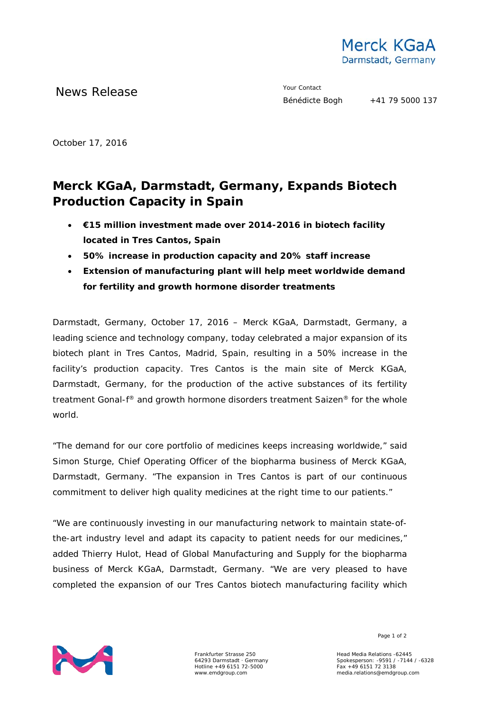

News Release The Merry Contact The Merry Contact

October 17, 2016

## **Merck KGaA, Darmstadt, Germany, Expands Biotech Production Capacity in Spain**

- **€15 million investment made over 2014-2016 in biotech facility located in Tres Cantos, Spain**
- **50% increase in production capacity and 20% staff increase**
- **Extension of manufacturing plant will help meet worldwide demand for fertility and growth hormone disorder treatments**

Darmstadt, Germany, October 17, 2016 – Merck KGaA, Darmstadt, Germany, a leading science and technology company, today celebrated a major expansion of its biotech plant in Tres Cantos, Madrid, Spain, resulting in a 50% increase in the facility's production capacity. Tres Cantos is the main site of Merck KGaA, Darmstadt, Germany, for the production of the active substances of its fertility treatment Gonal*-f*® and growth hormone disorders treatment Saizen® for the whole world.

"The demand for our core portfolio of medicines keeps increasing worldwide," said Simon Sturge, Chief Operating Officer of the biopharma business of Merck KGaA, Darmstadt, Germany. "The expansion in Tres Cantos is part of our continuous commitment to deliver high quality medicines at the right time to our patients."

"We are continuously investing in our manufacturing network to maintain state-ofthe-art industry level and adapt its capacity to patient needs for our medicines," added Thierry Hulot, Head of Global Manufacturing and Supply for the biopharma business of Merck KGaA, Darmstadt, Germany. "We are very pleased to have completed the expansion of our Tres Cantos biotech manufacturing facility which



Frankfurter Strasse 250 64293 Darmstadt · Germany Hotline +49 6151 72-5000 www.emdgroup.com

Page 1 of 2

Head Media Relations -62445 Spokesperson: -9591 / -7144 / -6328 Fax +49 6151 72 3138 media.relations@emdgroup.com